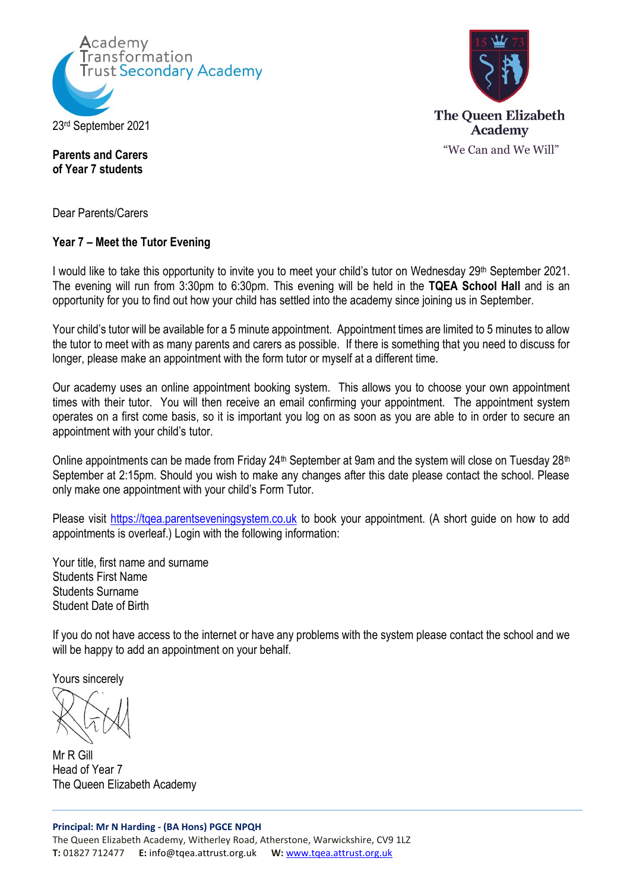



**Parents and Carers of Year 7 students**

Dear Parents/Carers

# **Year 7 – Meet the Tutor Evening**

I would like to take this opportunity to invite you to meet your child's tutor on Wednesday 29th September 2021. The evening will run from 3:30pm to 6:30pm. This evening will be held in the **TQEA School Hall** and is an opportunity for you to find out how your child has settled into the academy since joining us in September.

Your child's tutor will be available for a 5 minute appointment. Appointment times are limited to 5 minutes to allow the tutor to meet with as many parents and carers as possible. If there is something that you need to discuss for longer, please make an appointment with the form tutor or myself at a different time.

Our academy uses an online appointment booking system. This allows you to choose your own appointment times with their tutor. You will then receive an email confirming your appointment. The appointment system operates on a first come basis, so it is important you log on as soon as you are able to in order to secure an appointment with your child's tutor.

Online appointments can be made from Friday 24<sup>th</sup> September at 9am and the system will close on Tuesday 28<sup>th</sup> September at 2:15pm. Should you wish to make any changes after this date please contact the school. Please only make one appointment with your child's Form Tutor.

Please visit https://tgea.parentseveningsystem.co.uk to book your appointment. (A short guide on how to add appointments is overleaf.) Login with the following information:

Your title, first name and surname Students First Name Students Surname Student Date of Birth

If you do not have access to the internet or have any problems with the system please contact the school and we will be happy to add an appointment on your behalf.

Yours sincerely

Mr R Gill Head of Year 7 The Queen Elizabeth Academy